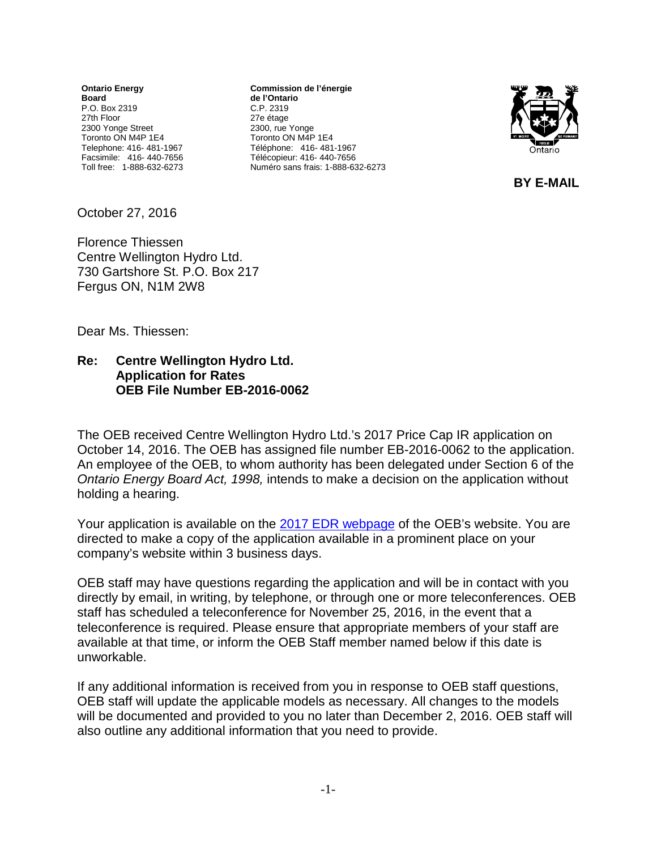**Ontario Energy Board** P.O. Box 2319 27th Floor 2300 Yonge Street Toronto ON M4P 1E4 Telephone: 416- 481-1967 Facsimile: 416- 440-7656 Toll free: 1-888-632-6273

**Commission de l'énergie de l'Ontario** C.P. 2319 27e étage 2300, rue Yonge Toronto ON M4P 1E4 Téléphone: 416- 481-1967 Télécopieur: 416- 440-7656 Numéro sans frais: 1-888-632-6273



 **BY E-MAIL** 

October 27, 2016

Florence Thiessen Centre Wellington Hydro Ltd. 730 Gartshore St. P.O. Box 217 Fergus ON, N1M 2W8

Dear Ms. Thiessen:

## **Re: Centre Wellington Hydro Ltd. Application for Rates OEB File Number EB-2016-0062**

The OEB received Centre Wellington Hydro Ltd.'s 2017 Price Cap IR application on October 14, 2016. The OEB has assigned file number EB-2016-0062 to the application. An employee of the OEB, to whom authority has been delegated under Section 6 of the *Ontario Energy Board Act, 1998,* intends to make a decision on the application without holding a hearing.

Your application is available on the 2017 [EDR webpage](http://www.ontarioenergyboard.ca/oeb/Industry/Regulatory%20Proceedings/Applications%20Before%20the%20Board/Electricity%20Distribution%20Rates/2017%20Electricity%20Distribution%20Rate%20Applications) of the OEB's website. You are directed to make a copy of the application available in a prominent place on your company's website within 3 business days.

OEB staff may have questions regarding the application and will be in contact with you directly by email, in writing, by telephone, or through one or more teleconferences. OEB staff has scheduled a teleconference for November 25, 2016, in the event that a teleconference is required. Please ensure that appropriate members of your staff are available at that time, or inform the OEB Staff member named below if this date is unworkable.

If any additional information is received from you in response to OEB staff questions, OEB staff will update the applicable models as necessary. All changes to the models will be documented and provided to you no later than December 2, 2016. OEB staff will also outline any additional information that you need to provide.